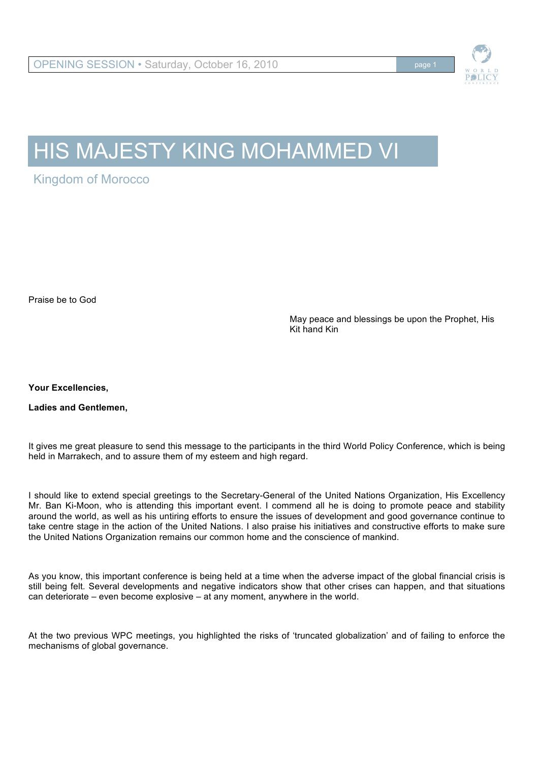

# HIS MAJESTY KING MOHAMMED VI

Kingdom of Morocco

Praise be to God

May peace and blessings be upon the Prophet, His Kit hand Kin

**Your Excellencies,** 

**Ladies and Gentlemen,** 

It gives me great pleasure to send this message to the participants in the third World Policy Conference, which is being held in Marrakech, and to assure them of my esteem and high regard.

I should like to extend special greetings to the Secretary-General of the United Nations Organization, His Excellency Mr. Ban Ki-Moon, who is attending this important event. I commend all he is doing to promote peace and stability around the world, as well as his untiring efforts to ensure the issues of development and good governance continue to take centre stage in the action of the United Nations. I also praise his initiatives and constructive efforts to make sure the United Nations Organization remains our common home and the conscience of mankind.

As you know, this important conference is being held at a time when the adverse impact of the global financial crisis is still being felt. Several developments and negative indicators show that other crises can happen, and that situations can deteriorate – even become explosive – at any moment, anywhere in the world.

At the two previous WPC meetings, you highlighted the risks of 'truncated globalization' and of failing to enforce the mechanisms of global governance.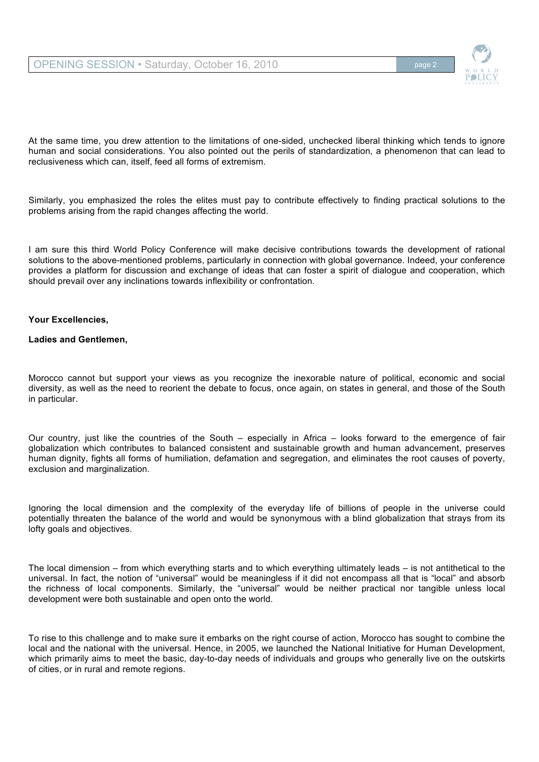

At the same time, you drew attention to the limitations of one-sided, unchecked liberal thinking which tends to ignore human and social considerations. You also pointed out the perils of standardization, a phenomenon that can lead to reclusiveness which can, itself, feed all forms of extremism.

Similarly, you emphasized the roles the elites must pay to contribute effectively to finding practical solutions to the problems arising from the rapid changes affecting the world.

I am sure this third World Policy Conference will make decisive contributions towards the development of rational solutions to the above-mentioned problems, particularly in connection with global governance. Indeed, your conference provides a platform for discussion and exchange of ideas that can foster a spirit of dialogue and cooperation, which should prevail over any inclinations towards inflexibility or confrontation.

## **Your Excellencies,**

## **Ladies and Gentlemen,**

Morocco cannot but support your views as you recognize the inexorable nature of political, economic and social diversity, as well as the need to reorient the debate to focus, once again, on states in general, and those of the South in particular.

Our country, just like the countries of the South – especially in Africa – looks forward to the emergence of fair globalization which contributes to balanced consistent and sustainable growth and human advancement, preserves human dignity, fights all forms of humiliation, defamation and segregation, and eliminates the root causes of poverty, exclusion and marginalization.

Ignoring the local dimension and the complexity of the everyday life of billions of people in the universe could potentially threaten the balance of the world and would be synonymous with a blind globalization that strays from its lofty goals and objectives.

The local dimension – from which everything starts and to which everything ultimately leads – is not antithetical to the universal. In fact, the notion of "universal" would be meaningless if it did not encompass all that is "local" and absorb the richness of local components. Similarly, the "universal" would be neither practical nor tangible unless local development were both sustainable and open onto the world.

To rise to this challenge and to make sure it embarks on the right course of action, Morocco has sought to combine the local and the national with the universal. Hence, in 2005, we launched the National Initiative for Human Development. which primarily aims to meet the basic, day-to-day needs of individuals and groups who generally live on the outskirts of cities, or in rural and remote regions.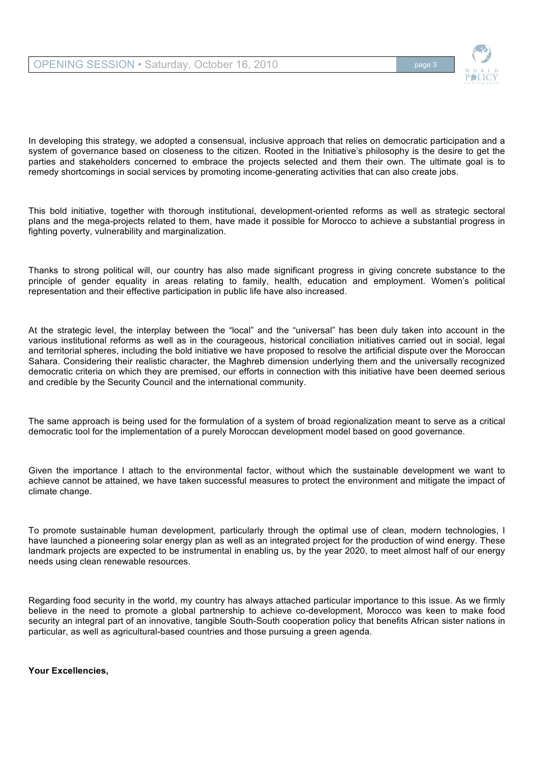

In developing this strategy, we adopted a consensual, inclusive approach that relies on democratic participation and a system of governance based on closeness to the citizen. Rooted in the Initiative's philosophy is the desire to get the parties and stakeholders concerned to embrace the projects selected and them their own. The ultimate goal is to remedy shortcomings in social services by promoting income-generating activities that can also create jobs.

This bold initiative, together with thorough institutional, development-oriented reforms as well as strategic sectoral plans and the mega-projects related to them, have made it possible for Morocco to achieve a substantial progress in fighting poverty, vulnerability and marginalization.

Thanks to strong political will, our country has also made significant progress in giving concrete substance to the principle of gender equality in areas relating to family, health, education and employment. Women's political representation and their effective participation in public life have also increased.

At the strategic level, the interplay between the "local" and the "universal" has been duly taken into account in the various institutional reforms as well as in the courageous, historical conciliation initiatives carried out in social, legal and territorial spheres, including the bold initiative we have proposed to resolve the artificial dispute over the Moroccan Sahara. Considering their realistic character, the Maghreb dimension underlying them and the universally recognized democratic criteria on which they are premised, our efforts in connection with this initiative have been deemed serious and credible by the Security Council and the international community.

The same approach is being used for the formulation of a system of broad regionalization meant to serve as a critical democratic tool for the implementation of a purely Moroccan development model based on good governance.

Given the importance I attach to the environmental factor, without which the sustainable development we want to achieve cannot be attained, we have taken successful measures to protect the environment and mitigate the impact of climate change.

To promote sustainable human development, particularly through the optimal use of clean, modern technologies, I have launched a pioneering solar energy plan as well as an integrated project for the production of wind energy. These landmark projects are expected to be instrumental in enabling us, by the year 2020, to meet almost half of our energy needs using clean renewable resources.

Regarding food security in the world, my country has always attached particular importance to this issue. As we firmly believe in the need to promote a global partnership to achieve co-development, Morocco was keen to make food security an integral part of an innovative, tangible South-South cooperation policy that benefits African sister nations in particular, as well as agricultural-based countries and those pursuing a green agenda.

**Your Excellencies,**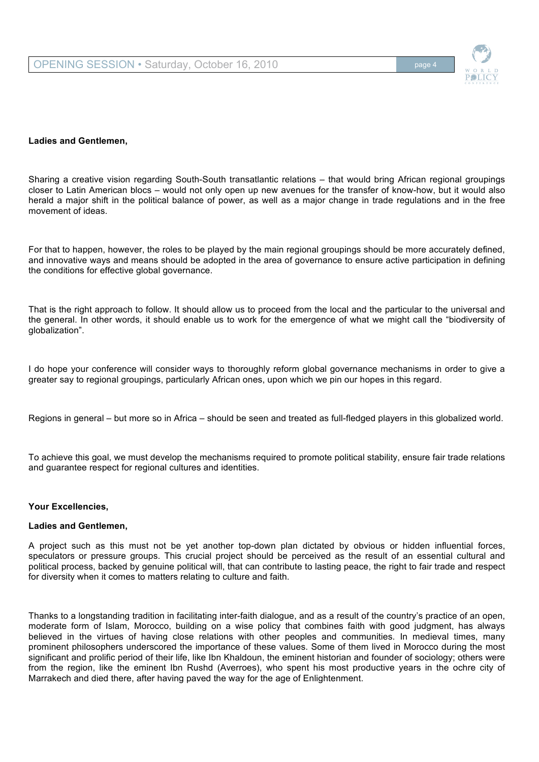

#### **Ladies and Gentlemen,**

Sharing a creative vision regarding South-South transatlantic relations – that would bring African regional groupings closer to Latin American blocs – would not only open up new avenues for the transfer of know-how, but it would also herald a major shift in the political balance of power, as well as a major change in trade regulations and in the free movement of ideas.

For that to happen, however, the roles to be played by the main regional groupings should be more accurately defined, and innovative ways and means should be adopted in the area of governance to ensure active participation in defining the conditions for effective global governance.

That is the right approach to follow. It should allow us to proceed from the local and the particular to the universal and the general. In other words, it should enable us to work for the emergence of what we might call the "biodiversity of globalization".

I do hope your conference will consider ways to thoroughly reform global governance mechanisms in order to give a greater say to regional groupings, particularly African ones, upon which we pin our hopes in this regard.

Regions in general – but more so in Africa – should be seen and treated as full-fledged players in this globalized world.

To achieve this goal, we must develop the mechanisms required to promote political stability, ensure fair trade relations and guarantee respect for regional cultures and identities.

#### **Your Excellencies,**

### **Ladies and Gentlemen,**

A project such as this must not be yet another top-down plan dictated by obvious or hidden influential forces, speculators or pressure groups. This crucial project should be perceived as the result of an essential cultural and political process, backed by genuine political will, that can contribute to lasting peace, the right to fair trade and respect for diversity when it comes to matters relating to culture and faith.

Thanks to a longstanding tradition in facilitating inter-faith dialogue, and as a result of the country's practice of an open, moderate form of Islam, Morocco, building on a wise policy that combines faith with good judgment, has always believed in the virtues of having close relations with other peoples and communities. In medieval times, many prominent philosophers underscored the importance of these values. Some of them lived in Morocco during the most significant and prolific period of their life, like Ibn Khaldoun, the eminent historian and founder of sociology; others were from the region, like the eminent Ibn Rushd (Averroes), who spent his most productive years in the ochre city of Marrakech and died there, after having paved the way for the age of Enlightenment.